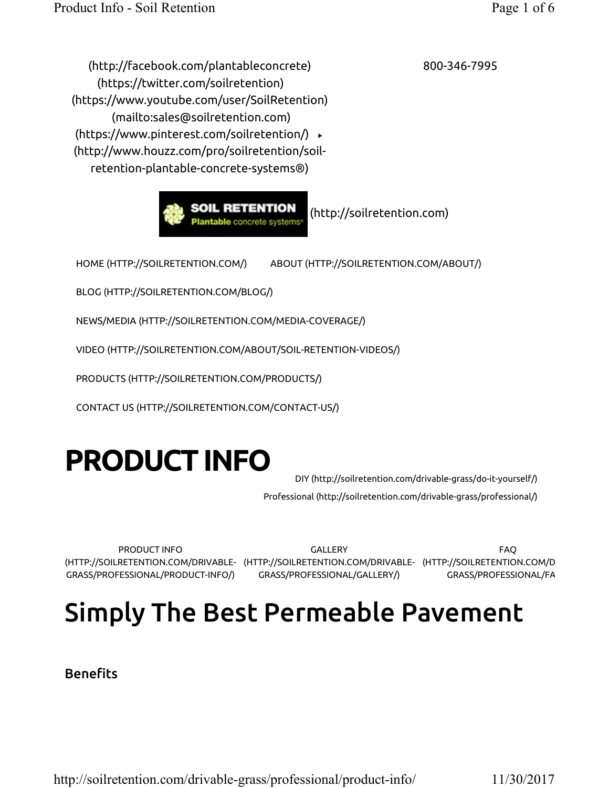800-346-7995

 (http://facebook.com/plantableconcrete) (https://twitter.com/soilretention) (https://www.youtube.com/user/SoilRetention) (mailto:sales@soilretention.com) (https://www.pinterest.com/soilretention/) (http://www.houzz.com/pro/soilretention/soilretention-plantable-concrete-systems®)



HOME (HTTP://SOILRETENTION.COM/) ABOUT (HTTP://SOILRETENTION.COM/ABOUT/)

BLOG (HTTP://SOILRETENTION.COM/BLOG/)

NEWS/MEDIA (HTTP://SOILRETENTION.COM/MEDIA-COVERAGE/)

VIDEO (HTTP://SOILRETENTION.COM/ABOUT/SOIL-RETENTION-VIDEOS/)

PRODUCTS (HTTP://SOILRETENTION.COM/PRODUCTS/)

CONTACT US (HTTP://SOILRETENTION.COM/CONTACT-US/)

# PRODUCT INFO

DIY (http://soilretention.com/drivable-grass/do-it-yourself/)

Professional (http://soilretention.com/drivable-grass/professional/)

PRODUCT INFO (HTTP://SOILRETENTION.COM/DRIVABLE-(HTTP://SOILRETENTION.COM/DRIVABLE-(HTTP://SOILRETENTION.COM/DRIVABLE-GRASS/PROFESSIONAL/PRODUCT-INFO/)

GALLERY GRASS/PROFESSIONAL/GALLERY/)

FAQ GRASS/PROFESSIONAL/FAQ/)

## Simply The Best Permeable Pavement

Benefits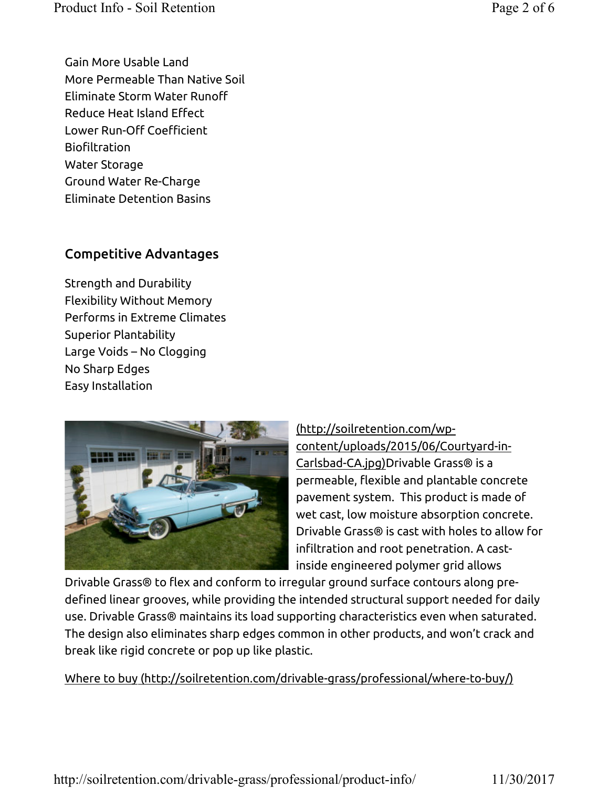Gain More Usable Land More Permeable Than Native Soil Eliminate Storm Water Runoff Reduce Heat Island Effect Lower Run-Off Coefficient Biofiltration Water Storage Ground Water Re-Charge Eliminate Detention Basins

#### Competitive Advantages

Strength and Durability Flexibility Without Memory Performs in Extreme Climates Superior Plantability Large Voids – No Clogging No Sharp Edges Easy Installation



(http://soilretention.com/wpcontent/uploads/2015/06/Courtyard-in-Carlsbad-CA.jpg)Drivable Grass® is a permeable, flexible and plantable concrete pavement system. This product is made of wet cast, low moisture absorption concrete. Drivable Grass® is cast with holes to allow for infiltration and root penetration. A castinside engineered polymer grid allows

Drivable Grass® to flex and conform to irregular ground surface contours along predefined linear grooves, while providing the intended structural support needed for daily use. Drivable Grass® maintains its load supporting characteristics even when saturated. The design also eliminates sharp edges common in other products, and won't crack and break like rigid concrete or pop up like plastic.

Where to buy (http://soilretention.com/drivable-grass/professional/where-to-buy/)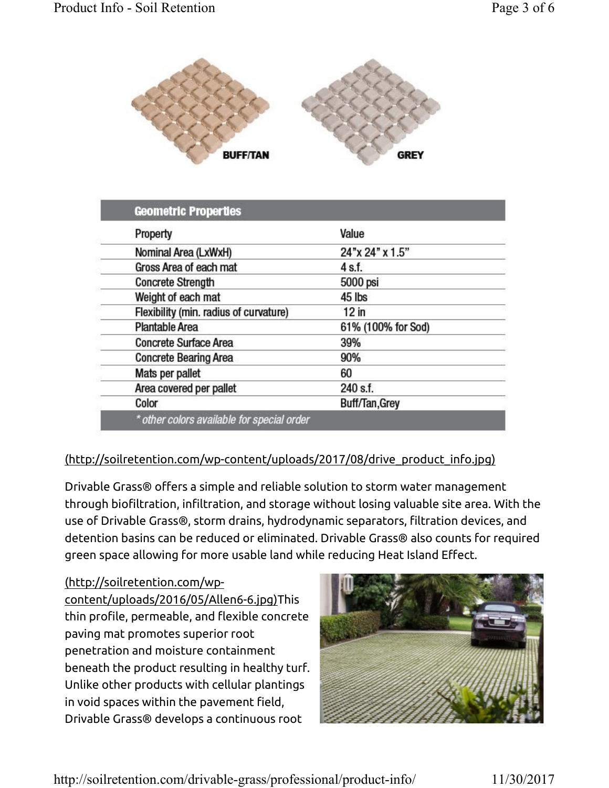

| Property                               | Value              |
|----------------------------------------|--------------------|
| Nominal Area (LxWxH)                   | 24"x 24" x 1.5"    |
| Gross Area of each mat                 | 4 s.f.             |
| <b>Concrete Strength</b>               | 5000 psi           |
| Weight of each mat                     | 45 lbs             |
| Flexibility (min. radius of curvature) | $12$ in            |
| <b>Plantable Area</b>                  | 61% (100% for Sod) |
| <b>Concrete Surface Area</b>           | 39%                |
| <b>Concrete Bearing Area</b>           | 90%                |
| Mats per pallet                        | 60                 |
| Area covered per pallet                | 240 s.f.           |
| Color                                  | Buff/Tan, Grey     |

#### (http://soilretention.com/wp-content/uploads/2017/08/drive\_product\_info.jpg)

Drivable Grass® offers a simple and reliable solution to storm water management through biofiltration, infiltration, and storage without losing valuable site area. With the use of Drivable Grass®, storm drains, hydrodynamic separators, filtration devices, and detention basins can be reduced or eliminated. Drivable Grass® also counts for required green space allowing for more usable land while reducing Heat Island Effect.

(http://soilretention.com/wp-

content/uploads/2016/05/Allen6-6.jpg)This thin profile, permeable, and flexible concrete paving mat promotes superior root penetration and moisture containment beneath the product resulting in healthy turf. Unlike other products with cellular plantings in void spaces within the pavement field, Drivable Grass® develops a continuous root

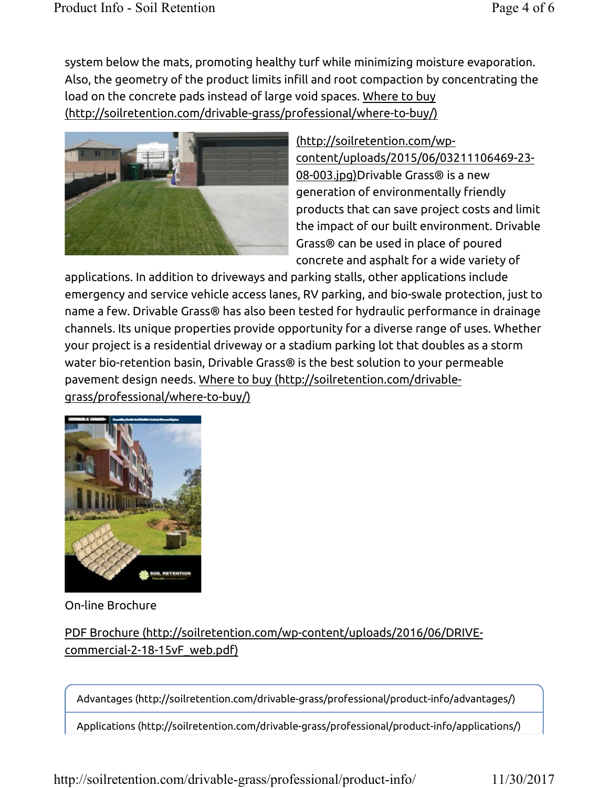system below the mats, promoting healthy turf while minimizing moisture evaporation. Also, the geometry of the product limits infill and root compaction by concentrating the load on the concrete pads instead of large void spaces. Where to buy (http://soilretention.com/drivable-grass/professional/where-to-buy/)



## (http://soilretention.com/wpcontent/uploads/2015/06/03211106469-23-

08-003.jpg)Drivable Grass® is a new generation of environmentally friendly products that can save project costs and limit the impact of our built environment. Drivable Grass® can be used in place of poured concrete and asphalt for a wide variety of

applications. In addition to driveways and parking stalls, other applications include emergency and service vehicle access lanes, RV parking, and bio-swale protection, just to name a few. Drivable Grass® has also been tested for hydraulic performance in drainage channels. Its unique properties provide opportunity for a diverse range of uses. Whether your project is a residential driveway or a stadium parking lot that doubles as a storm water bio-retention basin, Drivable Grass® is the best solution to your permeable pavement design needs. Where to buy (http://soilretention.com/drivablegrass/professional/where-to-buy/)



On-line Brochure

## PDF Brochure (http://soilretention.com/wp-content/uploads/2016/06/DRIVEcommercial-2-18-15vF\_web.pdf)

Advantages (http://soilretention.com/drivable-grass/professional/product-info/advantages/)

Applications (http://soilretention.com/drivable-grass/professional/product-info/applications/)